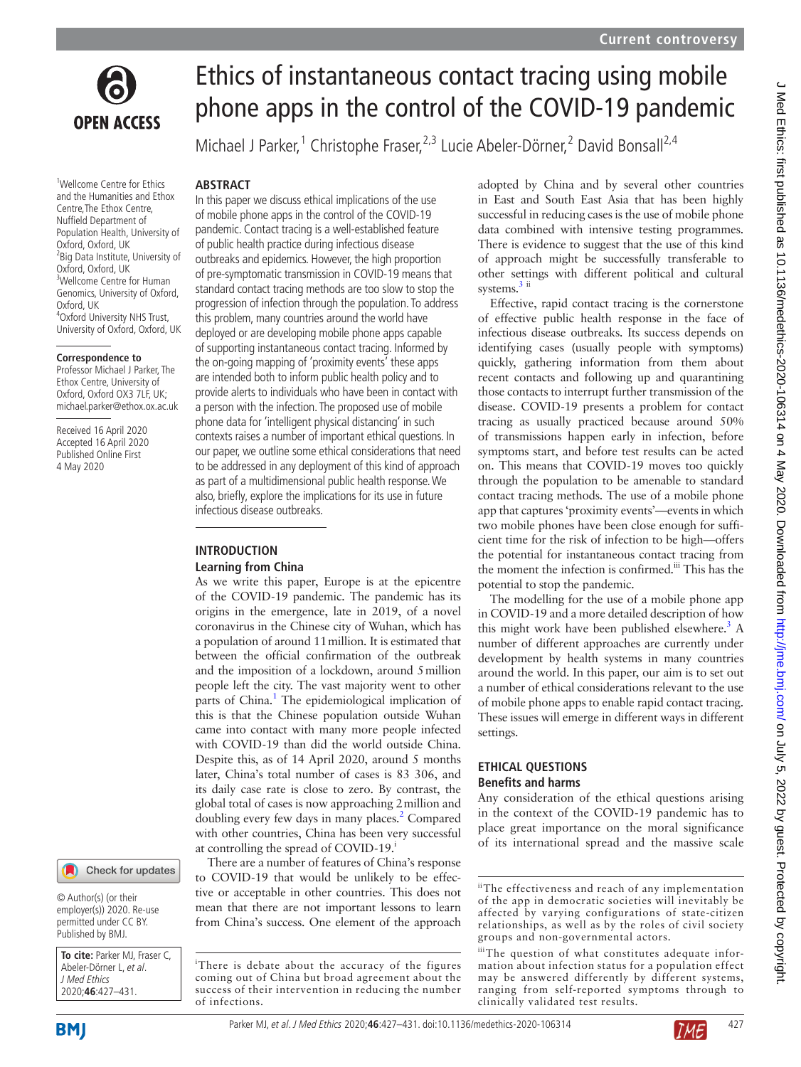

<sup>1</sup>Wellcome Centre for Ethics and the Humanities and Ethox Centre,The Ethox Centre, Nuffield Department of Population Health, University of Oxford, Oxford, UK <sup>2</sup>Big Data Institute, University of Oxford, Oxford, UK 3 Wellcome Centre for Human Genomics, University of Oxford, Oxford, UK 4 Oxford University NHS Trust, University of Oxford, Oxford, UK

#### **Correspondence to**

Professor Michael J Parker, The Ethox Centre, University of Oxford, Oxford OX3 7LF, UK; michael.parker@ethox.ox.ac.uk

Received 16 April 2020 Accepted 16 April 2020 Published Online First 4 May 2020



© Author(s) (or their employer(s)) 2020. Re-use permitted under CC BY. Published by BMJ.

**To cite:** Parker MJ, Fraser C, Abeler-Dörner L, et al. J Med Ethics 2020;**46**:427–431.

# Ethics of instantaneous contact tracing using mobile phone apps in the control of the COVID-19 pandemic

Michael J Parker,<sup>1</sup> Christophe Fraser,<sup>2,3</sup> Lucie Abeler-Dörner,<sup>2</sup> David Bonsall<sup>2,4</sup>

#### **Abstract**

In this paper we discuss ethical implications of the use of mobile phone apps in the control of the COVID-19 pandemic. Contact tracing is a well-established feature of public health practice during infectious disease outbreaks and epidemics. However, the high proportion of pre-symptomatic transmission in COVID-19 means that standard contact tracing methods are too slow to stop the progression of infection through the population. To address this problem, many countries around the world have deployed or are developing mobile phone apps capable of supporting instantaneous contact tracing. Informed by the on-going mapping of 'proximity events' these apps are intended both to inform public health policy and to provide alerts to individuals who have been in contact with a person with the infection. The proposed use of mobile phone data for 'intelligent physical distancing' in such contexts raises a number of important ethical questions. In our paper, we outline some ethical considerations that need to be addressed in any deployment of this kind of approach as part of a multidimensional public health response. We also, briefly, explore the implications for its use in future infectious disease outbreaks.

#### **Introduction Learning from China**

As we write this paper, Europe is at the epicentre of the COVID-19 pandemic. The pandemic has its origins in the emergence, late in 2019, of a novel coronavirus in the Chinese city of Wuhan, which has a population of around 11million. It is estimated that between the official confirmation of the outbreak and the imposition of a lockdown, around 5million people left the city. The vast majority went to other parts of China.<sup>[1](#page-3-0)</sup> The epidemiological implication of this is that the Chinese population outside Wuhan came into contact with many more people infected with COVID-19 than did the world outside China. Despite this, as of 14 April 2020, around 5 months later, China's total number of cases is 83 306, and its daily case rate is close to zero. By contrast, the global total of cases is now approaching 2million and doubling every few days in many places.<sup>2</sup> Compared with other countries, China has been very successful at controlling the spread of COVID-19.<sup>i</sup>

There are a number of features of China's response to COVID-19 that would be unlikely to be effective or acceptable in other countries. This does not mean that there are not important lessons to learn from China's success. One element of the approach

<sup>i</sup>There is debate about the accuracy of the figures coming out of China but broad agreement about the success of their intervention in reducing the number of infections.

adopted by China and by several other countries in East and South East Asia that has been highly successful in reducing cases is the use of mobile phone data combined with intensive testing programmes. There is evidence to suggest that the use of this kind of approach might be successfully transferable to other settings with different political and cultural systems.<sup>3 ii</sup>

Effective, rapid contact tracing is the cornerstone of effective public health response in the face of infectious disease outbreaks. Its success depends on identifying cases (usually people with symptoms) quickly, gathering information from them about recent contacts and following up and quarantining those contacts to interrupt further transmission of the disease. COVID-19 presents a problem for contact tracing as usually practiced because around 50% of transmissions happen early in infection, before symptoms start, and before test results can be acted on. This means that COVID-19 moves too quickly through the population to be amenable to standard contact tracing methods. The use of a mobile phone app that captures 'proximity events'—events in which two mobile phones have been close enough for sufficient time for the risk of infection to be high—offers the potential for instantaneous contact tracing from the moment the infection is confirmed.<sup>iii</sup> This has the potential to stop the pandemic.

The modelling for the use of a mobile phone app in COVID-19 and a more detailed description of how this might work have been published elsewhere. $3$  A number of different approaches are currently under development by health systems in many countries around the world. In this paper, our aim is to set out a number of ethical considerations relevant to the use of mobile phone apps to enable rapid contact tracing. These issues will emerge in different ways in different settings.

# **Ethical questions Benefits and harms**

Any consideration of the ethical questions arising in the context of the COVID-19 pandemic has to place great importance on the moral significance of its international spread and the massive scale



iiThe effectiveness and reach of any implementation of the app in democratic societies will inevitably be affected by varying configurations of state-citizen relationships, as well as by the roles of civil society groups and non-governmental actors.

iiiThe question of what constitutes adequate information about infection status for a population effect may be answered differently by different systems, ranging from self-reported symptoms through to clinically validated test results.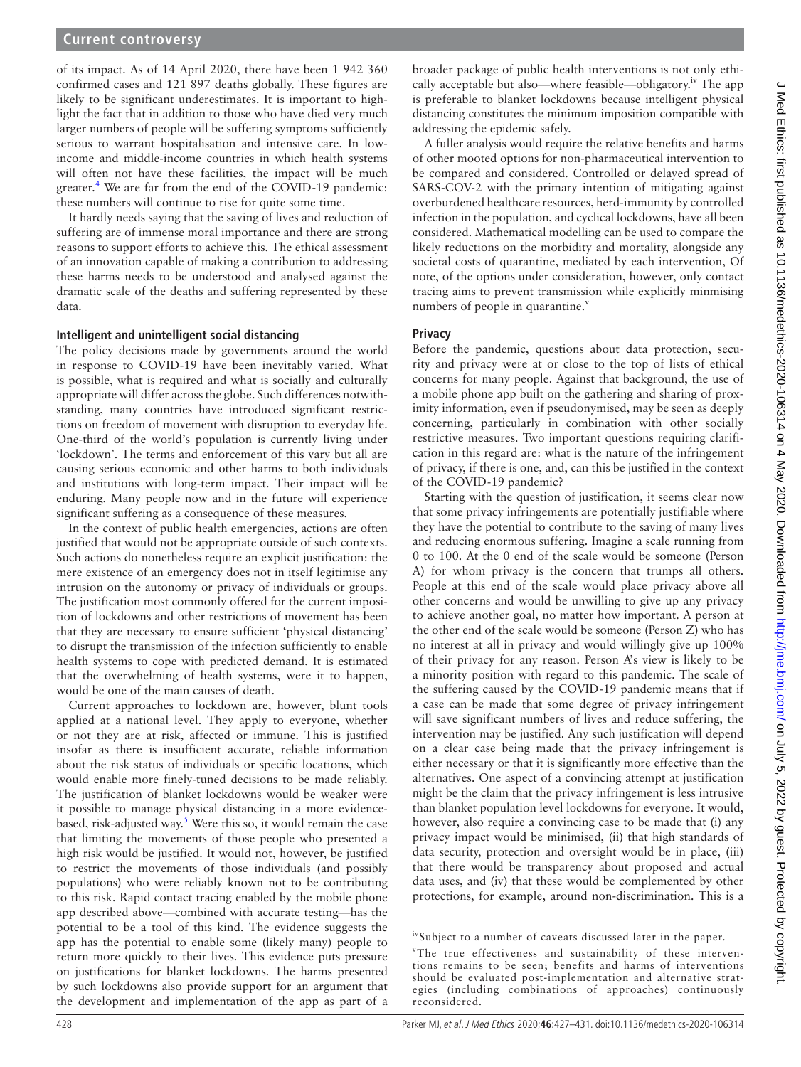of its impact. As of 14 April 2020, there have been 1 942 360 confirmed cases and 121 897 deaths globally. These figures are likely to be significant underestimates. It is important to highlight the fact that in addition to those who have died very much larger numbers of people will be suffering symptoms sufficiently serious to warrant hospitalisation and intensive care. In lowincome and middle-income countries in which health systems will often not have these facilities, the impact will be much greater.<sup>[4](#page-4-2)</sup> We are far from the end of the COVID-19 pandemic: these numbers will continue to rise for quite some time.

It hardly needs saying that the saving of lives and reduction of suffering are of immense moral importance and there are strong reasons to support efforts to achieve this. The ethical assessment of an innovation capable of making a contribution to addressing these harms needs to be understood and analysed against the dramatic scale of the deaths and suffering represented by these data.

#### **Intelligent and unintelligent social distancing**

The policy decisions made by governments around the world in response to COVID-19 have been inevitably varied. What is possible, what is required and what is socially and culturally appropriate will differ across the globe. Such differences notwithstanding, many countries have introduced significant restrictions on freedom of movement with disruption to everyday life. One-third of the world's population is currently living under 'lockdown'. The terms and enforcement of this vary but all are causing serious economic and other harms to both individuals and institutions with long-term impact. Their impact will be enduring. Many people now and in the future will experience significant suffering as a consequence of these measures.

In the context of public health emergencies, actions are often justified that would not be appropriate outside of such contexts. Such actions do nonetheless require an explicit justification: the mere existence of an emergency does not in itself legitimise any intrusion on the autonomy or privacy of individuals or groups. The justification most commonly offered for the current imposition of lockdowns and other restrictions of movement has been that they are necessary to ensure sufficient 'physical distancing' to disrupt the transmission of the infection sufficiently to enable health systems to cope with predicted demand. It is estimated that the overwhelming of health systems, were it to happen, would be one of the main causes of death.

Current approaches to lockdown are, however, blunt tools applied at a national level. They apply to everyone, whether or not they are at risk, affected or immune. This is justified insofar as there is insufficient accurate, reliable information about the risk status of individuals or specific locations, which would enable more finely-tuned decisions to be made reliably. The justification of blanket lockdowns would be weaker were it possible to manage physical distancing in a more evidence-based, risk-adjusted way.<sup>[5](#page-4-3)</sup> Were this so, it would remain the case that limiting the movements of those people who presented a high risk would be justified. It would not, however, be justified to restrict the movements of those individuals (and possibly populations) who were reliably known not to be contributing to this risk. Rapid contact tracing enabled by the mobile phone app described above—combined with accurate testing—has the potential to be a tool of this kind. The evidence suggests the app has the potential to enable some (likely many) people to return more quickly to their lives. This evidence puts pressure on justifications for blanket lockdowns. The harms presented by such lockdowns also provide support for an argument that the development and implementation of the app as part of a

broader package of public health interventions is not only ethically acceptable but also—where feasible—obligatory.<sup>1v</sup> The app is preferable to blanket lockdowns because intelligent physical distancing constitutes the minimum imposition compatible with addressing the epidemic safely.

A fuller analysis would require the relative benefits and harms of other mooted options for non-pharmaceutical intervention to be compared and considered. Controlled or delayed spread of SARS-COV-2 with the primary intention of mitigating against overburdened healthcare resources, herd-immunity by controlled infection in the population, and cyclical lockdowns, have all been considered. Mathematical modelling can be used to compare the likely reductions on the morbidity and mortality, alongside any societal costs of quarantine, mediated by each intervention, Of note, of the options under consideration, however, only contact tracing aims to prevent transmission while explicitly minmising numbers of people in quarantine. $v$ 

### **Privacy**

Before the pandemic, questions about data protection, security and privacy were at or close to the top of lists of ethical concerns for many people. Against that background, the use of a mobile phone app built on the gathering and sharing of proximity information, even if pseudonymised, may be seen as deeply concerning, particularly in combination with other socially restrictive measures. Two important questions requiring clarification in this regard are: what is the nature of the infringement of privacy, if there is one, and, can this be justified in the context of the COVID-19 pandemic?

Starting with the question of justification, it seems clear now that some privacy infringements are potentially justifiable where they have the potential to contribute to the saving of many lives and reducing enormous suffering. Imagine a scale running from 0 to 100. At the 0 end of the scale would be someone (Person A) for whom privacy is the concern that trumps all others. People at this end of the scale would place privacy above all other concerns and would be unwilling to give up any privacy to achieve another goal, no matter how important. A person at the other end of the scale would be someone (Person Z) who has no interest at all in privacy and would willingly give up 100% of their privacy for any reason. Person A's view is likely to be a minority position with regard to this pandemic. The scale of the suffering caused by the COVID-19 pandemic means that if a case can be made that some degree of privacy infringement will save significant numbers of lives and reduce suffering, the intervention may be justified. Any such justification will depend on a clear case being made that the privacy infringement is either necessary or that it is significantly more effective than the alternatives. One aspect of a convincing attempt at justification might be the claim that the privacy infringement is less intrusive than blanket population level lockdowns for everyone. It would, however, also require a convincing case to be made that (i) any privacy impact would be minimised, (ii) that high standards of data security, protection and oversight would be in place, (iii) that there would be transparency about proposed and actual data uses, and (iv) that these would be complemented by other protections, for example, around non-discrimination. This is a

ivSubject to a number of caveats discussed later in the paper.

<sup>&</sup>lt;sup>v</sup>The true effectiveness and sustainability of these interventions remains to be seen; benefits and harms of interventions should be evaluated post-implementation and alternative strategies (including combinations of approaches) continuously reconsidered.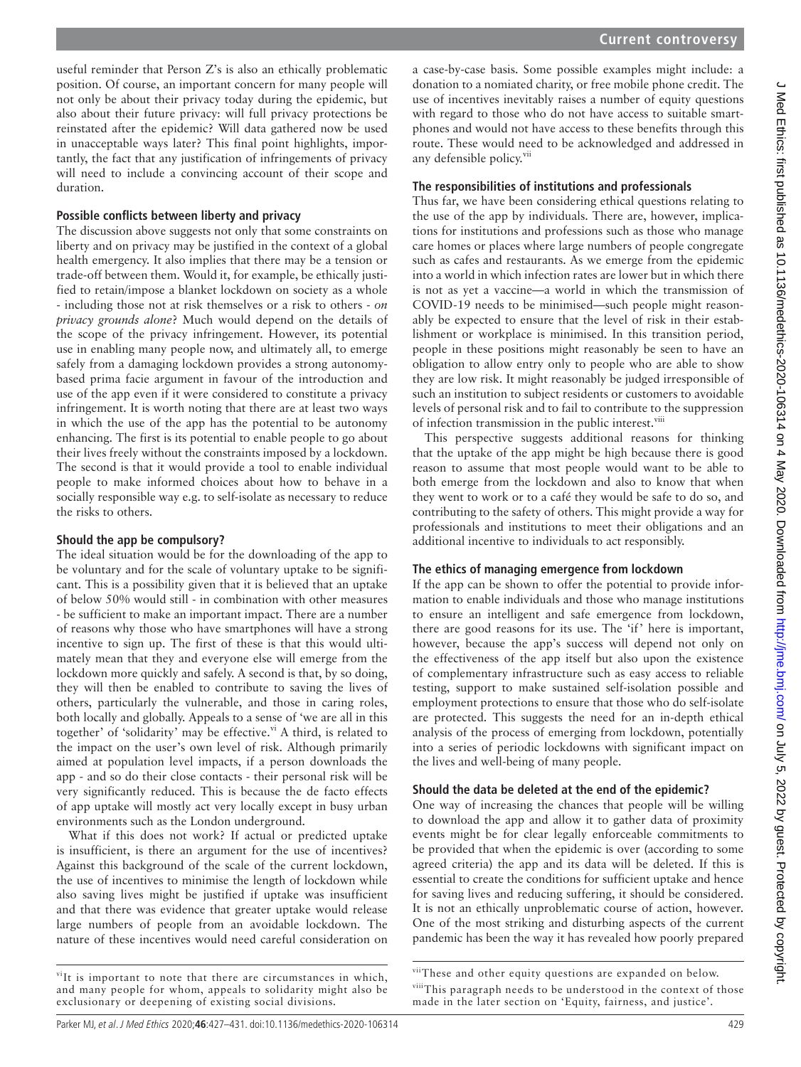useful reminder that Person Z's is also an ethically problematic position. Of course, an important concern for many people will not only be about their privacy today during the epidemic, but also about their future privacy: will full privacy protections be reinstated after the epidemic? Will data gathered now be used in unacceptable ways later? This final point highlights, importantly, the fact that any justification of infringements of privacy will need to include a convincing account of their scope and duration.

#### **Possible conflicts between liberty and privacy**

The discussion above suggests not only that some constraints on liberty and on privacy may be justified in the context of a global health emergency. It also implies that there may be a tension or trade-off between them. Would it, for example, be ethically justified to retain/impose a blanket lockdown on society as a whole - including those not at risk themselves or a risk to others - *on privacy grounds alone*? Much would depend on the details of the scope of the privacy infringement. However, its potential use in enabling many people now, and ultimately all, to emerge safely from a damaging lockdown provides a strong autonomybased prima facie argument in favour of the introduction and use of the app even if it were considered to constitute a privacy infringement. It is worth noting that there are at least two ways in which the use of the app has the potential to be autonomy enhancing. The first is its potential to enable people to go about their lives freely without the constraints imposed by a lockdown. The second is that it would provide a tool to enable individual people to make informed choices about how to behave in a socially responsible way e.g. to self-isolate as necessary to reduce the risks to others.

#### **Should the app be compulsory?**

The ideal situation would be for the downloading of the app to be voluntary and for the scale of voluntary uptake to be significant. This is a possibility given that it is believed that an uptake of below 50% would still - in combination with other measures - be sufficient to make an important impact. There are a number of reasons why those who have smartphones will have a strong incentive to sign up. The first of these is that this would ultimately mean that they and everyone else will emerge from the lockdown more quickly and safely. A second is that, by so doing, they will then be enabled to contribute to saving the lives of others, particularly the vulnerable, and those in caring roles, both locally and globally. Appeals to a sense of 'we are all in this together' of 'solidarity' may be effective. $\frac{v}{x}$  A third, is related to the impact on the user's own level of risk. Although primarily aimed at population level impacts, if a person downloads the app - and so do their close contacts - their personal risk will be very significantly reduced. This is because the de facto effects of app uptake will mostly act very locally except in busy urban environments such as the London underground.

What if this does not work? If actual or predicted uptake is insufficient, is there an argument for the use of incentives? Against this background of the scale of the current lockdown, the use of incentives to minimise the length of lockdown while also saving lives might be justified if uptake was insufficient and that there was evidence that greater uptake would release large numbers of people from an avoidable lockdown. The nature of these incentives would need careful consideration on

a case-by-case basis. Some possible examples might include: a donation to a nomiated charity, or free mobile phone credit. The use of incentives inevitably raises a number of equity questions with regard to those who do not have access to suitable smartphones and would not have access to these benefits through this route. These would need to be acknowledged and addressed in any defensible policy.<sup>vii</sup>

#### **The responsibilities of institutions and professionals**

Thus far, we have been considering ethical questions relating to the use of the app by individuals. There are, however, implications for institutions and professions such as those who manage care homes or places where large numbers of people congregate such as cafes and restaurants. As we emerge from the epidemic into a world in which infection rates are lower but in which there is not as yet a vaccine—a world in which the transmission of COVID-19 needs to be minimised—such people might reasonably be expected to ensure that the level of risk in their establishment or workplace is minimised. In this transition period, people in these positions might reasonably be seen to have an obligation to allow entry only to people who are able to show they are low risk. It might reasonably be judged irresponsible of such an institution to subject residents or customers to avoidable levels of personal risk and to fail to contribute to the suppression of infection transmission in the public interest.<sup>viii</sup>

This perspective suggests additional reasons for thinking that the uptake of the app might be high because there is good reason to assume that most people would want to be able to both emerge from the lockdown and also to know that when they went to work or to a café they would be safe to do so, and contributing to the safety of others. This might provide a way for professionals and institutions to meet their obligations and an additional incentive to individuals to act responsibly.

#### **The ethics of managing emergence from lockdown**

If the app can be shown to offer the potential to provide information to enable individuals and those who manage institutions to ensure an intelligent and safe emergence from lockdown, there are good reasons for its use. The 'if' here is important, however, because the app's success will depend not only on the effectiveness of the app itself but also upon the existence of complementary infrastructure such as easy access to reliable testing, support to make sustained self-isolation possible and employment protections to ensure that those who do self-isolate are protected. This suggests the need for an in-depth ethical analysis of the process of emerging from lockdown, potentially into a series of periodic lockdowns with significant impact on the lives and well-being of many people.

## **Should the data be deleted at the end of the epidemic?**

One way of increasing the chances that people will be willing to download the app and allow it to gather data of proximity events might be for clear legally enforceable commitments to be provided that when the epidemic is over (according to some agreed criteria) the app and its data will be deleted. If this is essential to create the conditions for sufficient uptake and hence for saving lives and reducing suffering, it should be considered. It is not an ethically unproblematic course of action, however. One of the most striking and disturbing aspects of the current pandemic has been the way it has revealed how poorly prepared

<sup>&</sup>lt;sup>vi</sup>It is important to note that there are circumstances in which, and many people for whom, appeals to solidarity might also be exclusionary or deepening of existing social divisions.

viiThese and other equity questions are expanded on below. viiiThis paragraph needs to be understood in the context of those made in the later section on 'Equity, fairness, and justice'.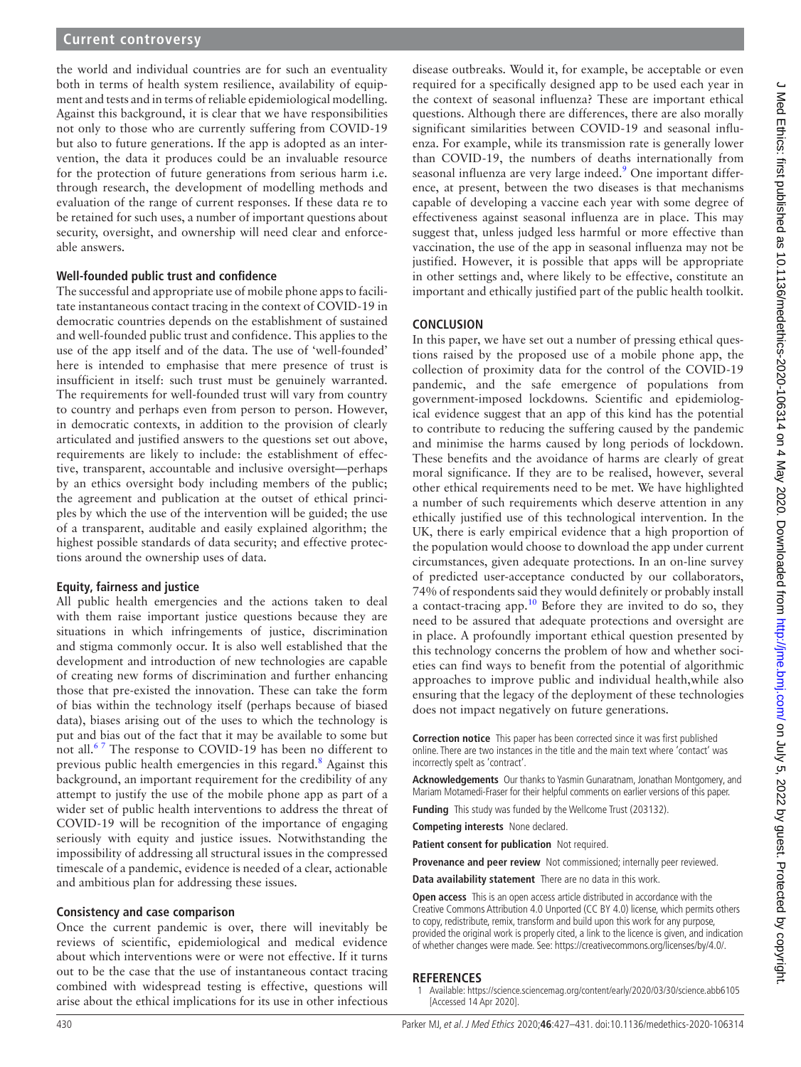the world and individual countries are for such an eventuality both in terms of health system resilience, availability of equipment and tests and in terms of reliable epidemiological modelling. Against this background, it is clear that we have responsibilities not only to those who are currently suffering from COVID-19 but also to future generations. If the app is adopted as an intervention, the data it produces could be an invaluable resource for the protection of future generations from serious harm i.e. through research, the development of modelling methods and evaluation of the range of current responses. If these data re to be retained for such uses, a number of important questions about security, oversight, and ownership will need clear and enforceable answers.

# **Well-founded public trust and confidence**

The successful and appropriate use of mobile phone apps to facilitate instantaneous contact tracing in the context of COVID-19 in democratic countries depends on the establishment of sustained and well-founded public trust and confidence. This applies to the use of the app itself and of the data. The use of 'well-founded' here is intended to emphasise that mere presence of trust is insufficient in itself: such trust must be genuinely warranted. The requirements for well-founded trust will vary from country to country and perhaps even from person to person. However, in democratic contexts, in addition to the provision of clearly articulated and justified answers to the questions set out above, requirements are likely to include: the establishment of effective, transparent, accountable and inclusive oversight—perhaps by an ethics oversight body including members of the public; the agreement and publication at the outset of ethical principles by which the use of the intervention will be guided; the use of a transparent, auditable and easily explained algorithm; the highest possible standards of data security; and effective protections around the ownership uses of data.

# **Equity, fairness and justice**

All public health emergencies and the actions taken to deal with them raise important justice questions because they are situations in which infringements of justice, discrimination and stigma commonly occur. It is also well established that the development and introduction of new technologies are capable of creating new forms of discrimination and further enhancing those that pre-existed the innovation. These can take the form of bias within the technology itself (perhaps because of biased data), biases arising out of the uses to which the technology is put and bias out of the fact that it may be available to some but not all.<sup>67</sup> The response to COVID-19 has been no different to previous public health emergencies in this regard.<sup>[8](#page-4-5)</sup> Against this background, an important requirement for the credibility of any attempt to justify the use of the mobile phone app as part of a wider set of public health interventions to address the threat of COVID-19 will be recognition of the importance of engaging seriously with equity and justice issues. Notwithstanding the impossibility of addressing all structural issues in the compressed timescale of a pandemic, evidence is needed of a clear, actionable and ambitious plan for addressing these issues.

#### **Consistency and case comparison**

Once the current pandemic is over, there will inevitably be reviews of scientific, epidemiological and medical evidence about which interventions were or were not effective. If it turns out to be the case that the use of instantaneous contact tracing combined with widespread testing is effective, questions will arise about the ethical implications for its use in other infectious

disease outbreaks. Would it, for example, be acceptable or even required for a specifically designed app to be used each year in the context of seasonal influenza? These are important ethical questions. Although there are differences, there are also morally significant similarities between COVID-19 and seasonal influenza. For example, while its transmission rate is generally lower than COVID-19, the numbers of deaths internationally from seasonal influenza are very large indeed.<sup>[9](#page-4-6)</sup> One important difference, at present, between the two diseases is that mechanisms capable of developing a vaccine each year with some degree of effectiveness against seasonal influenza are in place. This may suggest that, unless judged less harmful or more effective than vaccination, the use of the app in seasonal influenza may not be justified. However, it is possible that apps will be appropriate in other settings and, where likely to be effective, constitute an important and ethically justified part of the public health toolkit.

# **Conclusion**

In this paper, we have set out a number of pressing ethical questions raised by the proposed use of a mobile phone app, the collection of proximity data for the control of the COVID-19 pandemic, and the safe emergence of populations from government-imposed lockdowns. Scientific and epidemiological evidence suggest that an app of this kind has the potential to contribute to reducing the suffering caused by the pandemic and minimise the harms caused by long periods of lockdown. These benefits and the avoidance of harms are clearly of great moral significance. If they are to be realised, however, several other ethical requirements need to be met. We have highlighted a number of such requirements which deserve attention in any ethically justified use of this technological intervention. In the UK, there is early empirical evidence that a high proportion of the population would choose to download the app under current circumstances, given adequate protections. In an on-line survey of predicted user-acceptance conducted by our collaborators, 74% of respondents said they would definitely or probably install a contact-tracing app.[10](#page-4-7) Before they are invited to do so, they need to be assured that adequate protections and oversight are in place. A profoundly important ethical question presented by this technology concerns the problem of how and whether societies can find ways to benefit from the potential of algorithmic approaches to improve public and individual health,while also ensuring that the legacy of the deployment of these technologies does not impact negatively on future generations.

**Correction notice** This paper has been corrected since it was first published online. There are two instances in the title and the main text where 'contact' was incorrectly spelt as 'contract'.

**Acknowledgements** Our thanks to Yasmin Gunaratnam, Jonathan Montgomery, and Mariam Motamedi-Fraser for their helpful comments on earlier versions of this paper.

**Funding** This study was funded by the Wellcome Trust (203132).

**Competing interests** None declared.

**Patient consent for publication** Not required.

**Provenance and peer review** Not commissioned; internally peer reviewed.

**Data availability statement** There are no data in this work.

**Open access** This is an open access article distributed in accordance with the Creative Commons Attribution 4.0 Unported (CC BY 4.0) license, which permits others to copy, redistribute, remix, transform and build upon this work for any purpose, provided the original work is properly cited, a link to the licence is given, and indication of whether changes were made. See: <https://creativecommons.org/licenses/by/4.0/>.

#### **References**

<span id="page-3-0"></span>1 Available: <https://science.sciencemag.org/content/early/2020/03/30/science.abb6105> [Accessed 14 Apr 2020].